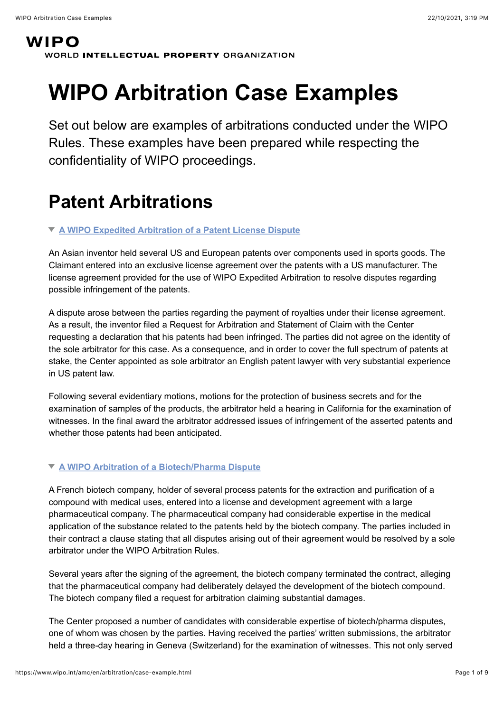### **WIPO** WORLD INTELLECTUAL PROPERTY ORGANIZATION

# **WIPO Arbitration Case Examples**

Set out below are examples of arbitrations conducted under the WIPO Rules. These examples have been prepared while respecting the confidentiality of WIPO proceedings.

### **Patent Arbitrations**

### **[A WIPO Expedited Arbitration of a Patent License Dispute](#page-0-0)**

<span id="page-0-0"></span>An Asian inventor held several US and European patents over components used in sports goods. The Claimant entered into an exclusive license agreement over the patents with a US manufacturer. The license agreement provided for the use of WIPO Expedited Arbitration to resolve disputes regarding possible infringement of the patents.

A dispute arose between the parties regarding the payment of royalties under their license agreement. As a result, the inventor filed a Request for Arbitration and Statement of Claim with the Center requesting a declaration that his patents had been infringed. The parties did not agree on the identity of the sole arbitrator for this case. As a consequence, and in order to cover the full spectrum of patents at stake, the Center appointed as sole arbitrator an English patent lawyer with very substantial experience in US patent law.

Following several evidentiary motions, motions for the protection of business secrets and for the examination of samples of the products, the arbitrator held a hearing in California for the examination of witnesses. In the final award the arbitrator addressed issues of infringement of the asserted patents and whether those patents had been anticipated.

### **[A WIPO Arbitration of a Biotech/Pharma Dispute](#page-0-1)**

<span id="page-0-1"></span>A French biotech company, holder of several process patents for the extraction and purification of a compound with medical uses, entered into a license and development agreement with a large pharmaceutical company. The pharmaceutical company had considerable expertise in the medical application of the substance related to the patents held by the biotech company. The parties included in their contract a clause stating that all disputes arising out of their agreement would be resolved by a sole arbitrator under the WIPO Arbitration Rules.

Several years after the signing of the agreement, the biotech company terminated the contract, alleging that the pharmaceutical company had deliberately delayed the development of the biotech compound. The biotech company filed a request for arbitration claiming substantial damages.

The Center proposed a number of candidates with considerable expertise of biotech/pharma disputes, one of whom was chosen by the parties. Having received the parties' written submissions, the arbitrator held a three-day hearing in Geneva (Switzerland) for the examination of witnesses. This not only served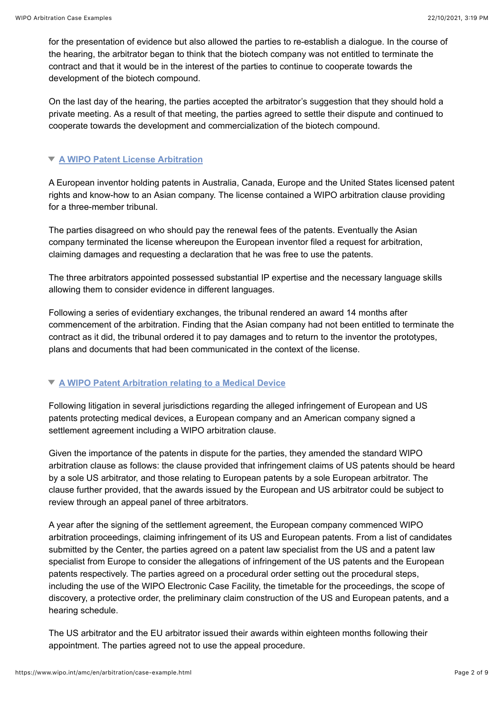for the presentation of evidence but also allowed the parties to re-establish a dialogue. In the course of the hearing, the arbitrator began to think that the biotech company was not entitled to terminate the contract and that it would be in the interest of the parties to continue to cooperate towards the development of the biotech compound.

On the last day of the hearing, the parties accepted the arbitrator's suggestion that they should hold a private meeting. As a result of that meeting, the parties agreed to settle their dispute and continued to cooperate towards the development and commercialization of the biotech compound.

### **[A WIPO Patent License Arbitration](#page-1-0)**

<span id="page-1-0"></span>A European inventor holding patents in Australia, Canada, Europe and the United States licensed patent rights and know-how to an Asian company. The license contained a WIPO arbitration clause providing for a three-member tribunal.

The parties disagreed on who should pay the renewal fees of the patents. Eventually the Asian company terminated the license whereupon the European inventor filed a request for arbitration, claiming damages and requesting a declaration that he was free to use the patents.

The three arbitrators appointed possessed substantial IP expertise and the necessary language skills allowing them to consider evidence in different languages.

Following a series of evidentiary exchanges, the tribunal rendered an award 14 months after commencement of the arbitration. Finding that the Asian company had not been entitled to terminate the contract as it did, the tribunal ordered it to pay damages and to return to the inventor the prototypes, plans and documents that had been communicated in the context of the license.

### **[A WIPO Patent Arbitration relating to a Medical Device](#page-1-1)**

<span id="page-1-1"></span>Following litigation in several jurisdictions regarding the alleged infringement of European and US patents protecting medical devices, a European company and an American company signed a settlement agreement including a WIPO arbitration clause.

Given the importance of the patents in dispute for the parties, they amended the standard WIPO arbitration clause as follows: the clause provided that infringement claims of US patents should be heard by a sole US arbitrator, and those relating to European patents by a sole European arbitrator. The clause further provided, that the awards issued by the European and US arbitrator could be subject to review through an appeal panel of three arbitrators.

A year after the signing of the settlement agreement, the European company commenced WIPO arbitration proceedings, claiming infringement of its US and European patents. From a list of candidates submitted by the Center, the parties agreed on a patent law specialist from the US and a patent law specialist from Europe to consider the allegations of infringement of the US patents and the European patents respectively. The parties agreed on a procedural order setting out the procedural steps, including the use of the WIPO Electronic Case Facility, the timetable for the proceedings, the scope of discovery, a protective order, the preliminary claim construction of the US and European patents, and a hearing schedule.

The US arbitrator and the EU arbitrator issued their awards within eighteen months following their appointment. The parties agreed not to use the appeal procedure.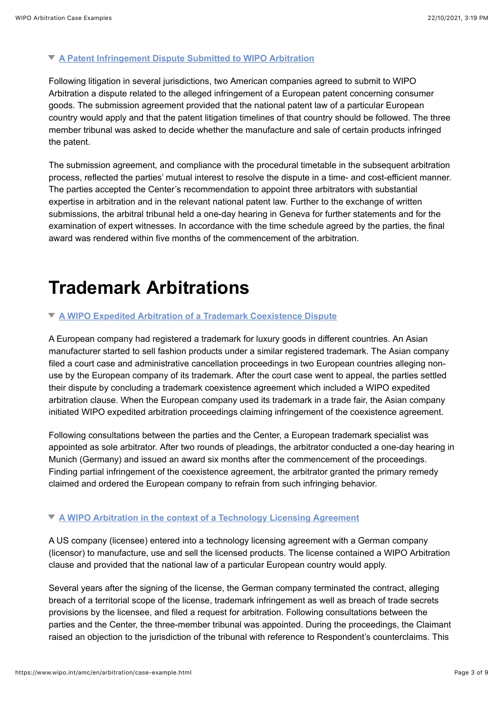#### **[A Patent Infringement Dispute Submitted to WIPO Arbitration](#page-2-0)**

<span id="page-2-0"></span>Following litigation in several jurisdictions, two American companies agreed to submit to WIPO Arbitration a dispute related to the alleged infringement of a European patent concerning consumer goods. The submission agreement provided that the national patent law of a particular European country would apply and that the patent litigation timelines of that country should be followed. The three member tribunal was asked to decide whether the manufacture and sale of certain products infringed the patent.

The submission agreement, and compliance with the procedural timetable in the subsequent arbitration process, reflected the parties' mutual interest to resolve the dispute in a time- and cost-efficient manner. The parties accepted the Center's recommendation to appoint three arbitrators with substantial expertise in arbitration and in the relevant national patent law. Further to the exchange of written submissions, the arbitral tribunal held a one-day hearing in Geneva for further statements and for the examination of expert witnesses. In accordance with the time schedule agreed by the parties, the final award was rendered within five months of the commencement of the arbitration.

### **Trademark Arbitrations**

#### **[A WIPO Expedited Arbitration of a Trademark Coexistence Dispute](#page-2-1)**

<span id="page-2-1"></span>A European company had registered a trademark for luxury goods in different countries. An Asian manufacturer started to sell fashion products under a similar registered trademark. The Asian company filed a court case and administrative cancellation proceedings in two European countries alleging nonuse by the European company of its trademark. After the court case went to appeal, the parties settled their dispute by concluding a trademark coexistence agreement which included a WIPO expedited arbitration clause. When the European company used its trademark in a trade fair, the Asian company initiated WIPO expedited arbitration proceedings claiming infringement of the coexistence agreement.

Following consultations between the parties and the Center, a European trademark specialist was appointed as sole arbitrator. After two rounds of pleadings, the arbitrator conducted a one-day hearing in Munich (Germany) and issued an award six months after the commencement of the proceedings. Finding partial infringement of the coexistence agreement, the arbitrator granted the primary remedy claimed and ordered the European company to refrain from such infringing behavior.

### **[A WIPO Arbitration in the context of a Technology Licensing Agreement](#page-2-2)**

<span id="page-2-2"></span>A US company (licensee) entered into a technology licensing agreement with a German company (licensor) to manufacture, use and sell the licensed products. The license contained a WIPO Arbitration clause and provided that the national law of a particular European country would apply.

Several years after the signing of the license, the German company terminated the contract, alleging breach of a territorial scope of the license, trademark infringement as well as breach of trade secrets provisions by the licensee, and filed a request for arbitration. Following consultations between the parties and the Center, the three-member tribunal was appointed. During the proceedings, the Claimant raised an objection to the jurisdiction of the tribunal with reference to Respondent's counterclaims. This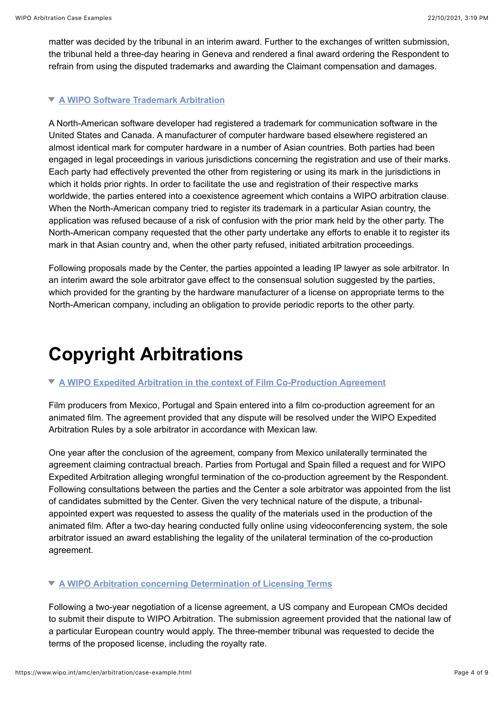matter was decided by the tribunal in an interim award. Further to the exchanges of written submission, the tribunal held a three-day hearing in Geneva and rendered a final award ordering the Respondent to refrain from using the disputed trademarks and awarding the Claimant compensation and damages.

### **[A WIPO Software Trademark Arbitration](#page-3-0)**

<span id="page-3-0"></span>A North-American software developer had registered a trademark for communication software in the United States and Canada. A manufacturer of computer hardware based elsewhere registered an almost identical mark for computer hardware in a number of Asian countries. Both parties had been engaged in legal proceedings in various jurisdictions concerning the registration and use of their marks. Each party had effectively prevented the other from registering or using its mark in the jurisdictions in which it holds prior rights. In order to facilitate the use and registration of their respective marks worldwide, the parties entered into a coexistence agreement which contains a WIPO arbitration clause. When the North-American company tried to register its trademark in a particular Asian country, the application was refused because of a risk of confusion with the prior mark held by the other party. The North-American company requested that the other party undertake any efforts to enable it to register its mark in that Asian country and, when the other party refused, initiated arbitration proceedings.

Following proposals made by the Center, the parties appointed a leading IP lawyer as sole arbitrator. In an interim award the sole arbitrator gave effect to the consensual solution suggested by the parties, which provided for the granting by the hardware manufacturer of a license on appropriate terms to the North-American company, including an obligation to provide periodic reports to the other party.

# **Copyright Arbitrations**

### **[A WIPO Expedited Arbitration in the context of Film Co-Production Agreement](#page-3-1)**

<span id="page-3-1"></span>Film producers from Mexico, Portugal and Spain entered into a film co-production agreement for an animated film. The agreement provided that any dispute will be resolved under the WIPO Expedited Arbitration Rules by a sole arbitrator in accordance with Mexican law.

One year after the conclusion of the agreement, company from Mexico unilaterally terminated the agreement claiming contractual breach. Parties from Portugal and Spain filled a request and for WIPO Expedited Arbitration alleging wrongful termination of the co-production agreement by the Respondent. Following consultations between the parties and the Center a sole arbitrator was appointed from the list of candidates submitted by the Center. Given the very technical nature of the dispute, a tribunalappointed expert was requested to assess the quality of the materials used in the production of the animated film. After a two-day hearing conducted fully online using videoconferencing system, the sole arbitrator issued an award establishing the legality of the unilateral termination of the co-production agreement.

### **[A WIPO Arbitration concerning Determination of Licensing Terms](#page-3-2)**

<span id="page-3-2"></span>Following a two-year negotiation of a license agreement, a US company and European CMOs decided to submit their dispute to WIPO Arbitration. The submission agreement provided that the national law of a particular European country would apply. The three-member tribunal was requested to decide the terms of the proposed license, including the royalty rate.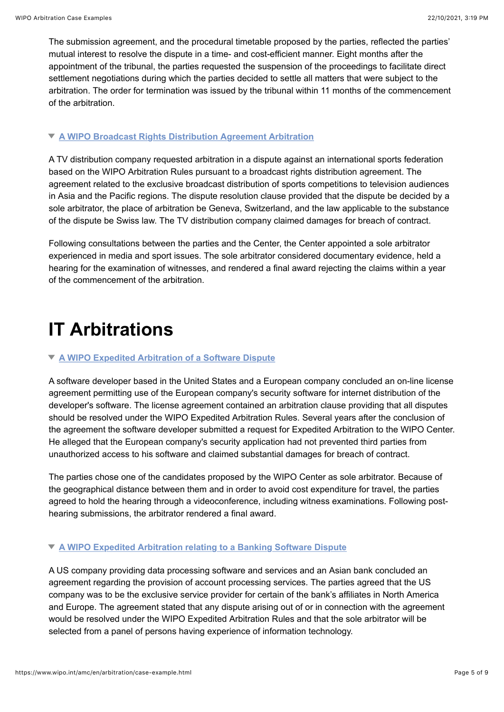The submission agreement, and the procedural timetable proposed by the parties, reflected the parties' mutual interest to resolve the dispute in a time- and cost-efficient manner. Eight months after the appointment of the tribunal, the parties requested the suspension of the proceedings to facilitate direct settlement negotiations during which the parties decided to settle all matters that were subject to the arbitration. The order for termination was issued by the tribunal within 11 months of the commencement of the arbitration.

### **[A WIPO Broadcast Rights Distribution Agreement Arbitration](#page-4-0)**

<span id="page-4-0"></span>A TV distribution company requested arbitration in a dispute against an international sports federation based on the WIPO Arbitration Rules pursuant to a broadcast rights distribution agreement. The agreement related to the exclusive broadcast distribution of sports competitions to television audiences in Asia and the Pacific regions. The dispute resolution clause provided that the dispute be decided by a sole arbitrator, the place of arbitration be Geneva, Switzerland, and the law applicable to the substance of the dispute be Swiss law. The TV distribution company claimed damages for breach of contract.

Following consultations between the parties and the Center, the Center appointed a sole arbitrator experienced in media and sport issues. The sole arbitrator considered documentary evidence, held a hearing for the examination of witnesses, and rendered a final award rejecting the claims within a year of the commencement of the arbitration.

## **IT Arbitrations**

### **[A WIPO Expedited Arbitration of a Software Dispute](#page-4-1)**

<span id="page-4-1"></span>A software developer based in the United States and a European company concluded an on-line license agreement permitting use of the European company's security software for internet distribution of the developer's software. The license agreement contained an arbitration clause providing that all disputes should be resolved under the WIPO Expedited Arbitration Rules. Several years after the conclusion of the agreement the software developer submitted a request for Expedited Arbitration to the WIPO Center. He alleged that the European company's security application had not prevented third parties from unauthorized access to his software and claimed substantial damages for breach of contract.

The parties chose one of the candidates proposed by the WIPO Center as sole arbitrator. Because of the geographical distance between them and in order to avoid cost expenditure for travel, the parties agreed to hold the hearing through a videoconference, including witness examinations. Following posthearing submissions, the arbitrator rendered a final award.

### **[A WIPO Expedited Arbitration relating to a Banking Software Dispute](#page-4-2)**

<span id="page-4-2"></span>A US company providing data processing software and services and an Asian bank concluded an agreement regarding the provision of account processing services. The parties agreed that the US company was to be the exclusive service provider for certain of the bank's affiliates in North America and Europe. The agreement stated that any dispute arising out of or in connection with the agreement would be resolved under the WIPO Expedited Arbitration Rules and that the sole arbitrator will be selected from a panel of persons having experience of information technology.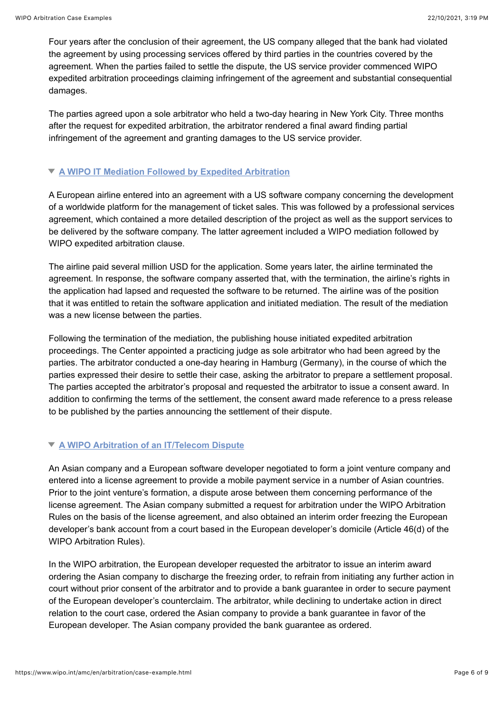Four years after the conclusion of their agreement, the US company alleged that the bank had violated the agreement by using processing services offered by third parties in the countries covered by the agreement. When the parties failed to settle the dispute, the US service provider commenced WIPO expedited arbitration proceedings claiming infringement of the agreement and substantial consequential damages.

The parties agreed upon a sole arbitrator who held a two-day hearing in New York City. Three months after the request for expedited arbitration, the arbitrator rendered a final award finding partial infringement of the agreement and granting damages to the US service provider.

### **[A WIPO IT Mediation Followed by Expedited Arbitration](#page-5-0)**

<span id="page-5-0"></span>A European airline entered into an agreement with a US software company concerning the development of a worldwide platform for the management of ticket sales. This was followed by a professional services agreement, which contained a more detailed description of the project as well as the support services to be delivered by the software company. The latter agreement included a WIPO mediation followed by WIPO expedited arbitration clause.

The airline paid several million USD for the application. Some years later, the airline terminated the agreement. In response, the software company asserted that, with the termination, the airline's rights in the application had lapsed and requested the software to be returned. The airline was of the position that it was entitled to retain the software application and initiated mediation. The result of the mediation was a new license between the parties.

Following the termination of the mediation, the publishing house initiated expedited arbitration proceedings. The Center appointed a practicing judge as sole arbitrator who had been agreed by the parties. The arbitrator conducted a one-day hearing in Hamburg (Germany), in the course of which the parties expressed their desire to settle their case, asking the arbitrator to prepare a settlement proposal. The parties accepted the arbitrator's proposal and requested the arbitrator to issue a consent award. In addition to confirming the terms of the settlement, the consent award made reference to a press release to be published by the parties announcing the settlement of their dispute.

### **[A WIPO Arbitration of an IT/Telecom Dispute](#page-5-1)**

<span id="page-5-1"></span>An Asian company and a European software developer negotiated to form a joint venture company and entered into a license agreement to provide a mobile payment service in a number of Asian countries. Prior to the joint venture's formation, a dispute arose between them concerning performance of the license agreement. The Asian company submitted a request for arbitration under the WIPO Arbitration Rules on the basis of the license agreement, and also obtained an interim order freezing the European developer's bank account from a court based in the European developer's domicile (Article 46(d) of the WIPO Arbitration Rules).

In the WIPO arbitration, the European developer requested the arbitrator to issue an interim award ordering the Asian company to discharge the freezing order, to refrain from initiating any further action in court without prior consent of the arbitrator and to provide a bank guarantee in order to secure payment of the European developer's counterclaim. The arbitrator, while declining to undertake action in direct relation to the court case, ordered the Asian company to provide a bank guarantee in favor of the European developer. The Asian company provided the bank guarantee as ordered.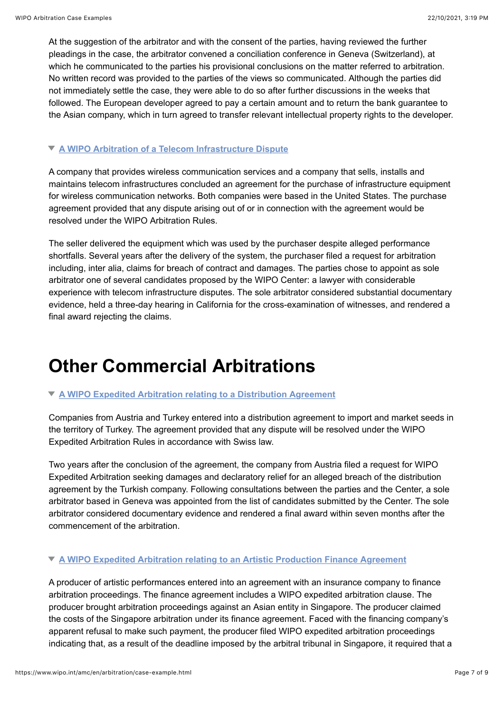At the suggestion of the arbitrator and with the consent of the parties, having reviewed the further pleadings in the case, the arbitrator convened a conciliation conference in Geneva (Switzerland), at which he communicated to the parties his provisional conclusions on the matter referred to arbitration. No written record was provided to the parties of the views so communicated. Although the parties did not immediately settle the case, they were able to do so after further discussions in the weeks that followed. The European developer agreed to pay a certain amount and to return the bank guarantee to the Asian company, which in turn agreed to transfer relevant intellectual property rights to the developer.

### **[A WIPO Arbitration of a Telecom Infrastructure Dispute](#page-6-0)**

<span id="page-6-0"></span>A company that provides wireless communication services and a company that sells, installs and maintains telecom infrastructures concluded an agreement for the purchase of infrastructure equipment for wireless communication networks. Both companies were based in the United States. The purchase agreement provided that any dispute arising out of or in connection with the agreement would be resolved under the WIPO Arbitration Rules.

The seller delivered the equipment which was used by the purchaser despite alleged performance shortfalls. Several years after the delivery of the system, the purchaser filed a request for arbitration including, inter alia, claims for breach of contract and damages. The parties chose to appoint as sole arbitrator one of several candidates proposed by the WIPO Center: a lawyer with considerable experience with telecom infrastructure disputes. The sole arbitrator considered substantial documentary evidence, held a three-day hearing in California for the cross-examination of witnesses, and rendered a final award rejecting the claims.

### **Other Commercial Arbitrations**

### **[A WIPO Expedited Arbitration relating to a Distribution Agreement](#page-6-1)**

<span id="page-6-1"></span>Companies from Austria and Turkey entered into a distribution agreement to import and market seeds in the territory of Turkey. The agreement provided that any dispute will be resolved under the WIPO Expedited Arbitration Rules in accordance with Swiss law.

Two years after the conclusion of the agreement, the company from Austria filed a request for WIPO Expedited Arbitration seeking damages and declaratory relief for an alleged breach of the distribution agreement by the Turkish company. Following consultations between the parties and the Center, a sole arbitrator based in Geneva was appointed from the list of candidates submitted by the Center. The sole arbitrator considered documentary evidence and rendered a final award within seven months after the commencement of the arbitration.

### **[A WIPO Expedited Arbitration relating to an Artistic Production Finance Agreement](#page-6-2)**

<span id="page-6-2"></span>A producer of artistic performances entered into an agreement with an insurance company to finance arbitration proceedings. The finance agreement includes a WIPO expedited arbitration clause. The producer brought arbitration proceedings against an Asian entity in Singapore. The producer claimed the costs of the Singapore arbitration under its finance agreement. Faced with the financing company's apparent refusal to make such payment, the producer filed WIPO expedited arbitration proceedings indicating that, as a result of the deadline imposed by the arbitral tribunal in Singapore, it required that a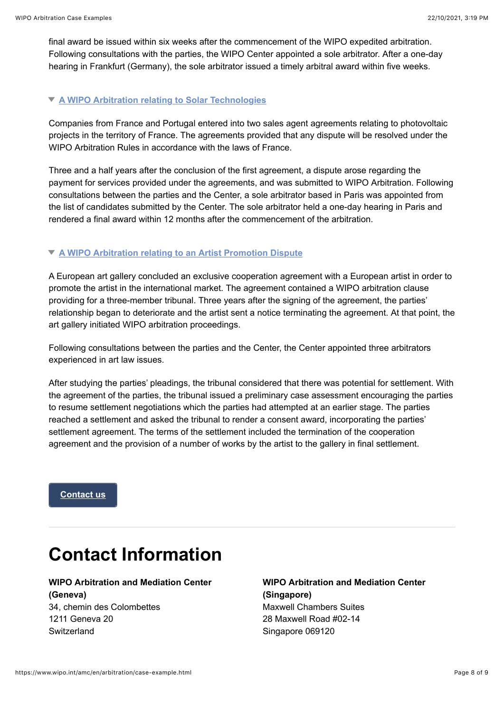final award be issued within six weeks after the commencement of the WIPO expedited arbitration. Following consultations with the parties, the WIPO Center appointed a sole arbitrator. After a one-day hearing in Frankfurt (Germany), the sole arbitrator issued a timely arbitral award within five weeks.

### **[A WIPO Arbitration relating to Solar Technologies](#page-7-0)**

<span id="page-7-0"></span>Companies from France and Portugal entered into two sales agent agreements relating to photovoltaic projects in the territory of France. The agreements provided that any dispute will be resolved under the WIPO Arbitration Rules in accordance with the laws of France.

Three and a half years after the conclusion of the first agreement, a dispute arose regarding the payment for services provided under the agreements, and was submitted to WIPO Arbitration. Following consultations between the parties and the Center, a sole arbitrator based in Paris was appointed from the list of candidates submitted by the Center. The sole arbitrator held a one-day hearing in Paris and rendered a final award within 12 months after the commencement of the arbitration.

#### **[A WIPO Arbitration relating to an Artist Promotion Dispute](#page-6-1)**

A European art gallery concluded an exclusive cooperation agreement with a European artist in order to promote the artist in the international market. The agreement contained a WIPO arbitration clause providing for a three-member tribunal. Three years after the signing of the agreement, the parties' relationship began to deteriorate and the artist sent a notice terminating the agreement. At that point, the art gallery initiated WIPO arbitration proceedings.

Following consultations between the parties and the Center, the Center appointed three arbitrators experienced in art law issues.

After studying the parties' pleadings, the tribunal considered that there was potential for settlement. With the agreement of the parties, the tribunal issued a preliminary case assessment encouraging the parties to resume settlement negotiations which the parties had attempted at an earlier stage. The parties reached a settlement and asked the tribunal to render a consent award, incorporating the parties' settlement agreement. The terms of the settlement included the termination of the cooperation agreement and the provision of a number of works by the artist to the gallery in final settlement.

**[Contact us](mailto:arbiter.mail@wipo.int)**

## **Contact Information**

### **WIPO Arbitration and Mediation Center**

**(Geneva)** 34, chemin des Colombettes 1211 Geneva 20 Switzerland

**WIPO Arbitration and Mediation Center (Singapore)** Maxwell Chambers Suites 28 Maxwell Road #02-14 Singapore 069120